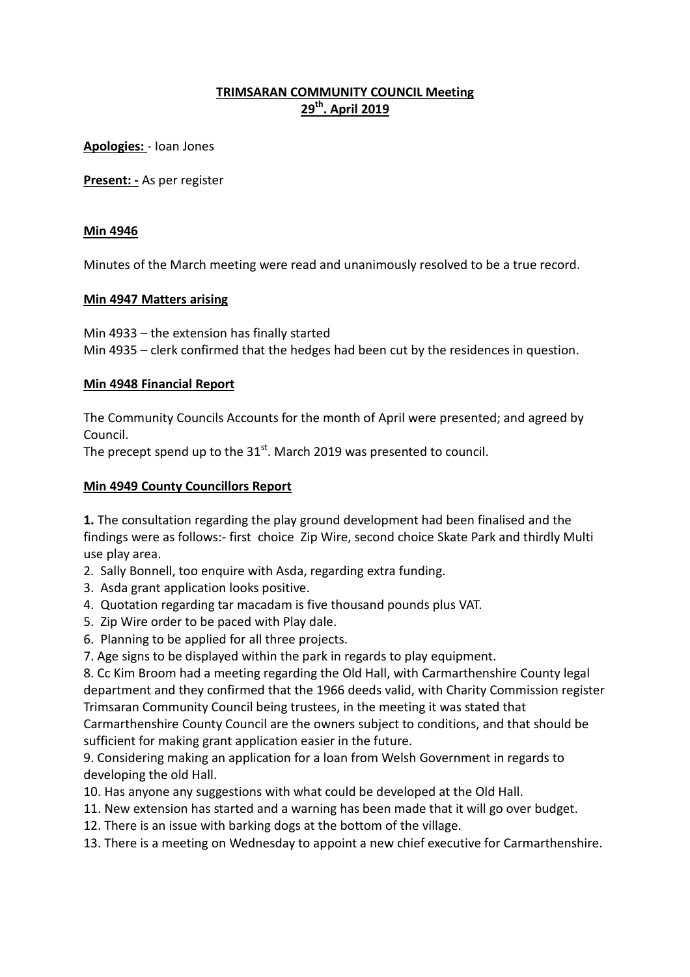# **TRIMSARAN COMMUNITY COUNCIL Meeting 29th. April 2019**

**Apologies:** - Ioan Jones

**Present: -** As per register

### **Min 4946**

Minutes of the March meeting were read and unanimously resolved to be a true record.

### **Min 4947 Matters arising**

Min 4933 – the extension has finally started Min 4935 – clerk confirmed that the hedges had been cut by the residences in question.

## **Min 4948 Financial Report**

The Community Councils Accounts for the month of April were presented; and agreed by Council.

The precept spend up to the  $31<sup>st</sup>$ . March 2019 was presented to council.

# **Min 4949 County Councillors Report**

**1.** The consultation regarding the play ground development had been finalised and the findings were as follows:- first choice Zip Wire, second choice Skate Park and thirdly Multi use play area.

- 2. Sally Bonnell, too enquire with Asda, regarding extra funding.
- 3. Asda grant application looks positive.
- 4. Quotation regarding tar macadam is five thousand pounds plus VAT.
- 5. Zip Wire order to be paced with Play dale.
- 6. Planning to be applied for all three projects.
- 7. Age signs to be displayed within the park in regards to play equipment.

8. Cc Kim Broom had a meeting regarding the Old Hall, with Carmarthenshire County legal department and they confirmed that the 1966 deeds valid, with Charity Commission register Trimsaran Community Council being trustees, in the meeting it was stated that Carmarthenshire County Council are the owners subject to conditions, and that should be

sufficient for making grant application easier in the future.

9. Considering making an application for a loan from Welsh Government in regards to developing the old Hall.

- 10. Has anyone any suggestions with what could be developed at the Old Hall.
- 11. New extension has started and a warning has been made that it will go over budget.
- 12. There is an issue with barking dogs at the bottom of the village.
- 13. There is a meeting on Wednesday to appoint a new chief executive for Carmarthenshire.